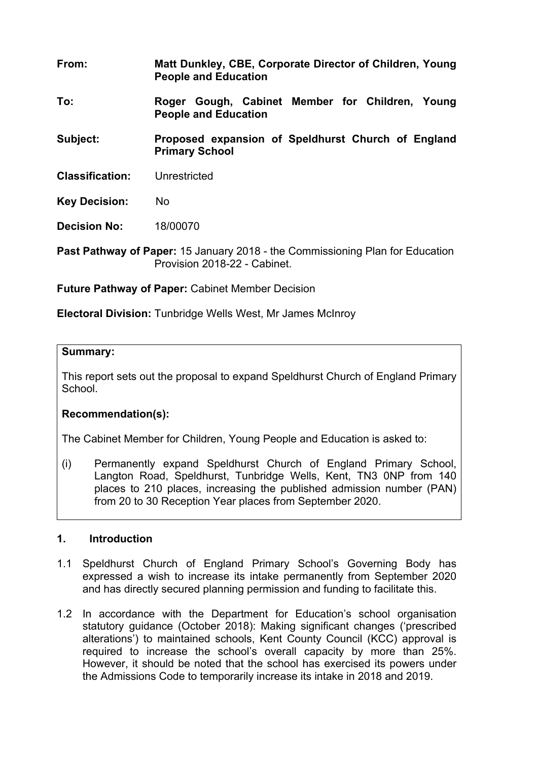- **From: Matt Dunkley, CBE, Corporate Director of Children, Young People and Education**
- **To: Roger Gough, Cabinet Member for Children, Young People and Education**

**Subject: Proposed expansion of Speldhurst Church of England Primary School**

**Classification:** Unrestricted

**Key Decision:** No

**Decision No:** 18/00070

**Past Pathway of Paper:** 15 January 2018 - the Commissioning Plan for Education Provision 2018-22 - Cabinet.

**Future Pathway of Paper:** Cabinet Member Decision

**Electoral Division:** Tunbridge Wells West, Mr James McInroy

#### **Summary:**

This report sets out the proposal to expand Speldhurst Church of England Primary **School** 

## **Recommendation(s):**

The Cabinet Member for Children, Young People and Education is asked to:

(i) Permanently expand Speldhurst Church of England Primary School, Langton Road, Speldhurst, Tunbridge Wells, Kent, TN3 0NP from 140 places to 210 places, increasing the published admission number (PAN) from 20 to 30 Reception Year places from September 2020.

## **1. Introduction**

- 1.1 Speldhurst Church of England Primary School's Governing Body has expressed a wish to increase its intake permanently from September 2020 and has directly secured planning permission and funding to facilitate this.
- 1.2 In accordance with the Department for Education's school organisation statutory guidance (October 2018): Making significant changes ('prescribed alterations') to maintained schools, Kent County Council (KCC) approval is required to increase the school's overall capacity by more than 25%. However, it should be noted that the school has exercised its powers under the Admissions Code to temporarily increase its intake in 2018 and 2019.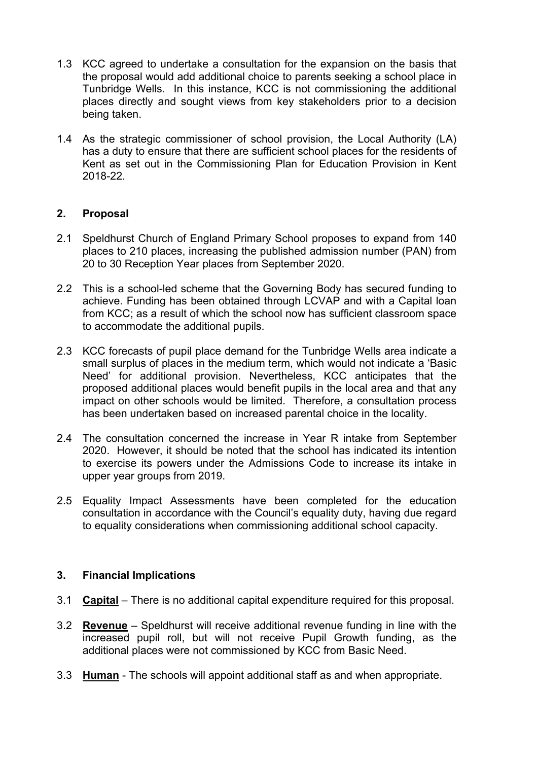- 1.3 KCC agreed to undertake a consultation for the expansion on the basis that the proposal would add additional choice to parents seeking a school place in Tunbridge Wells. In this instance, KCC is not commissioning the additional places directly and sought views from key stakeholders prior to a decision being taken.
- 1.4 As the strategic commissioner of school provision, the Local Authority (LA) has a duty to ensure that there are sufficient school places for the residents of Kent as set out in the Commissioning Plan for Education Provision in Kent 2018-22.

#### **2. Proposal**

- 2.1 Speldhurst Church of England Primary School proposes to expand from 140 places to 210 places, increasing the published admission number (PAN) from 20 to 30 Reception Year places from September 2020.
- 2.2 This is a school-led scheme that the Governing Body has secured funding to achieve. Funding has been obtained through LCVAP and with a Capital loan from KCC; as a result of which the school now has sufficient classroom space to accommodate the additional pupils.
- 2.3 KCC forecasts of pupil place demand for the Tunbridge Wells area indicate a small surplus of places in the medium term, which would not indicate a 'Basic Need' for additional provision. Nevertheless, KCC anticipates that the proposed additional places would benefit pupils in the local area and that any impact on other schools would be limited. Therefore, a consultation process has been undertaken based on increased parental choice in the locality.
- 2.4 The consultation concerned the increase in Year R intake from September 2020. However, it should be noted that the school has indicated its intention to exercise its powers under the Admissions Code to increase its intake in upper year groups from 2019.
- 2.5 Equality Impact Assessments have been completed for the education consultation in accordance with the Council's equality duty, having due regard to equality considerations when commissioning additional school capacity.

#### **3. Financial Implications**

- 3.1 **Capital** There is no additional capital expenditure required for this proposal.
- 3.2 **Revenue** Speldhurst will receive additional revenue funding in line with the increased pupil roll, but will not receive Pupil Growth funding, as the additional places were not commissioned by KCC from Basic Need.
- 3.3 **Human** The schools will appoint additional staff as and when appropriate.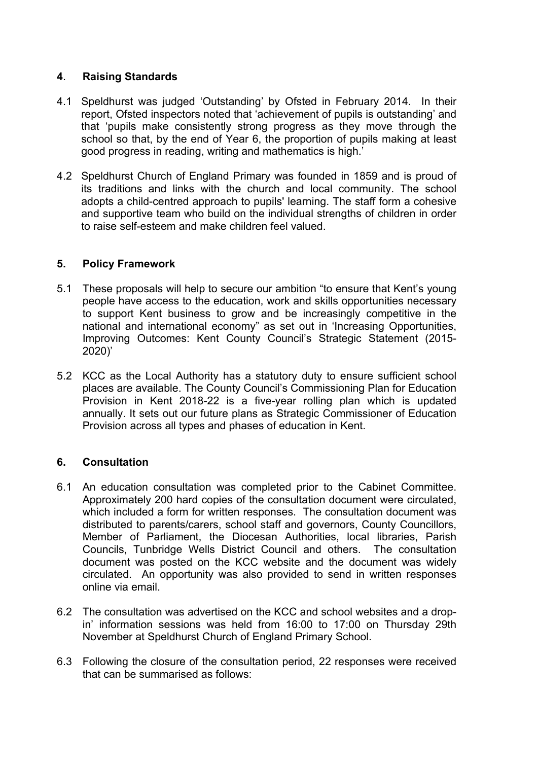## **4**. **Raising Standards**

- 4.1 Speldhurst was judged 'Outstanding' by Ofsted in February 2014. In their report, Ofsted inspectors noted that 'achievement of pupils is outstanding' and that 'pupils make consistently strong progress as they move through the school so that, by the end of Year 6, the proportion of pupils making at least good progress in reading, writing and mathematics is high.'
- 4.2 Speldhurst Church of England Primary was founded in 1859 and is proud of its traditions and links with the church and local community. The school adopts a child-centred approach to pupils' learning. The staff form a cohesive and supportive team who build on the individual strengths of children in order to raise self-esteem and make children feel valued.

## **5. Policy Framework**

- 5.1 These proposals will help to secure our ambition "to ensure that Kent's young people have access to the education, work and skills opportunities necessary to support Kent business to grow and be increasingly competitive in the national and international economy" as set out in 'Increasing Opportunities, Improving Outcomes: Kent County Council's Strategic Statement (2015- 2020)'
- 5.2 KCC as the Local Authority has a statutory duty to ensure sufficient school places are available. The County Council's Commissioning Plan for Education Provision in Kent 2018-22 is a five-year rolling plan which is updated annually. It sets out our future plans as Strategic Commissioner of Education Provision across all types and phases of education in Kent.

## **6. Consultation**

- 6.1 An education consultation was completed prior to the Cabinet Committee. Approximately 200 hard copies of the consultation document were circulated, which included a form for written responses. The consultation document was distributed to parents/carers, school staff and governors, County Councillors, Member of Parliament, the Diocesan Authorities, local libraries, Parish Councils, Tunbridge Wells District Council and others. The consultation document was posted on the KCC website and the document was widely circulated. An opportunity was also provided to send in written responses online via email.
- 6.2 The consultation was advertised on the KCC and school websites and a dropin' information sessions was held from 16:00 to 17:00 on Thursday 29th November at Speldhurst Church of England Primary School.
- 6.3 Following the closure of the consultation period, 22 responses were received that can be summarised as follows: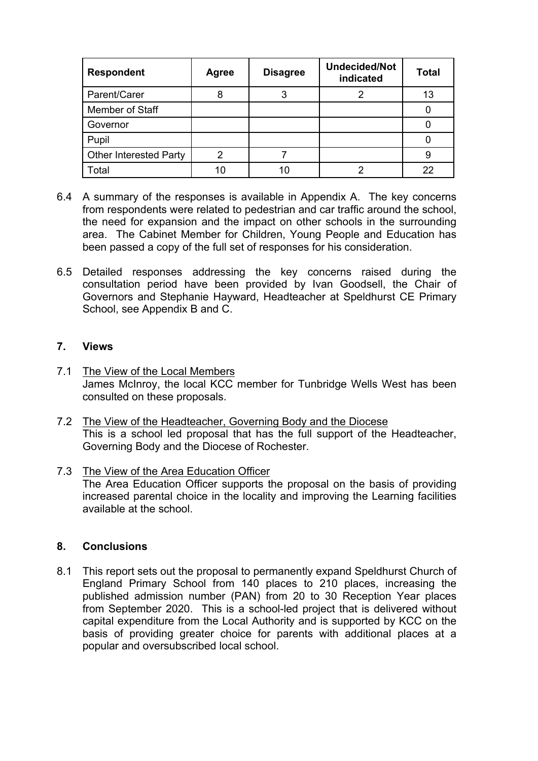| <b>Respondent</b>             | Agree | <b>Disagree</b> | <b>Undecided/Not</b><br>indicated | <b>Total</b> |
|-------------------------------|-------|-----------------|-----------------------------------|--------------|
| Parent/Carer                  |       | 3               |                                   | 13           |
| Member of Staff               |       |                 |                                   |              |
| Governor                      |       |                 |                                   |              |
| Pupil                         |       |                 |                                   |              |
| <b>Other Interested Party</b> |       |                 |                                   |              |
| Total                         | 10    | 10              |                                   | 22           |

- 6.4 A summary of the responses is available in Appendix A. The key concerns from respondents were related to pedestrian and car traffic around the school, the need for expansion and the impact on other schools in the surrounding area. The Cabinet Member for Children, Young People and Education has been passed a copy of the full set of responses for his consideration.
- 6.5 Detailed responses addressing the key concerns raised during the consultation period have been provided by Ivan Goodsell, the Chair of Governors and Stephanie Hayward, Headteacher at Speldhurst CE Primary School, see Appendix B and C.

#### **7. Views**

- 7.1 The View of the Local Members James McInroy, the local KCC member for Tunbridge Wells West has been consulted on these proposals.
- 7.2 The View of the Headteacher, Governing Body and the Diocese This is a school led proposal that has the full support of the Headteacher, Governing Body and the Diocese of Rochester.
- 7.3 The View of the Area Education Officer The Area Education Officer supports the proposal on the basis of providing increased parental choice in the locality and improving the Learning facilities available at the school.

#### **8. Conclusions**

8.1 This report sets out the proposal to permanently expand Speldhurst Church of England Primary School from 140 places to 210 places, increasing the published admission number (PAN) from 20 to 30 Reception Year places from September 2020. This is a school-led project that is delivered without capital expenditure from the Local Authority and is supported by KCC on the basis of providing greater choice for parents with additional places at a popular and oversubscribed local school.